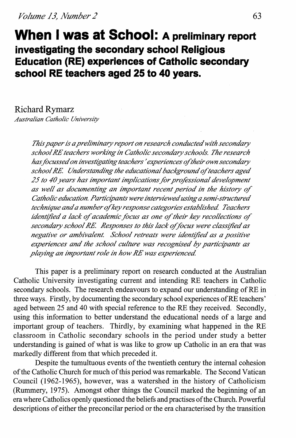**When I was at School: A preliminary report investigating the secondary school Religious Education (RE) experiences of Catholic secondary school RE teachers aged 25 to 40 years.** 

Richard Rymarz

*Australian Catholic University* 

*This paper is a preliminary report on research conducted with secondary*   $s$ chool RE teachers working in Catholic secondary schools. The research has focussed on investigating teachers' experiences of their own secondary school RE. Understanding the educational background of teachers aged *25 to 40 years has important implications for pro/"essional development*  as well as documenting an important recent period in the history of *Catholic education. Participants were interviewed using a semi-structured technique and a number if key response categories established Teachers identified a lack of academic focus as one of their key recollections of secondary school RE. Responses to this lack of focus were classified as negative or ambivalent. School retreats were identtfted as a positive experiences and the school culture was recognised by participants as playing an important role in how RE was experienced* 

This paper is a preliminary report on research conducted at the Australian Catholic University investigating current and intending RE teachers in Catholic secondary schools. The research endeavours to expand our understanding of RE in three ways. Firstly, by documenting the secondary school experiences ofRE teachers' aged between 25 and 40 with special reference to the RE they received. Secondly, using this information to better understand the educational needs of a large and important group of teachers. Thirdly, by examining what happened in the RE classroom in Catholic secondary schools in the period under study a better understanding is gained of what is was like to grow up Catholic in an era that was markedly different from that which preceded it.

Despite the tumultuous events of the twentieth century the internal cohesion of the Catholic Church for much of this period was remarkable. The Second Vatican Council (1962-1965), however, was a watershed in the history of Catholicism (Rummery, 1975). Amongst other things the Council marked the beginning of an era where Catholics openly questioned the beliefs and practises of the Church. Powerful descriptions of either the preconcilar period or the era characterised by the transition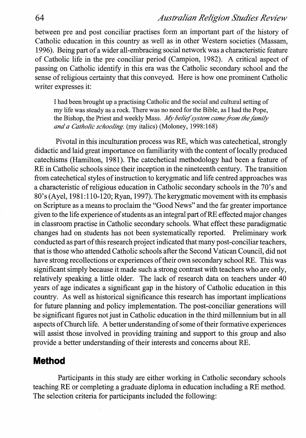between pre and post conciliar practises form an important part of the history of Catholic education in this country as well as in other Western societies (Massam, 1996). Being part of a wider all-embracing social network was a characteristic feature of Catholic life in the pre conciliar period (Campion, 1982). A critical aspect of passing on Catholic identify in this era was the Catholic secondary school and the sense of religious certainty that this conveyed. Here is how one prominent Catholic writer expresses it:

I had been brought up a practising Catholic and the social and cultural setting of my life was steady as a rock. There was no need for the Bible, as I had the Pope, the Bishop, the Priest and weekly Mass. *My belief system came from the family and a Catholic schooling.* (my italics) (Moloney, 1998:168)

Pivotal in this inculturation process was RE, which was catechetical, strongly didactic and laid great importance on familiarity with the content of locally produced catechisms (Hamilton, 1981). The catechetical methodology had been a feature of RE in Catholic schools since their inception in the nineteenth century. The transition from catechetical styles of instruction to kerygmatic and life centred approaches was a characteristic of religious education in Catholic secondary schools in the 70's and  $80's$  (Ayel, 1981:110-120; Ryan, 1997). The kerygmatic movement with its emphasis on Scripture as a means to proclaim the "Good News" and the far greater importance given to the life experience of students as an integral part ofRE effected major changes in classroom practise in Catholic secondary schools. What effect these paradigmatic changes had on students has not been systematically reported. Preliminary work conducted as part of this research project indicated that many post-conciliar teachers, that is those who attended Catholic schools after the Second Vatican Council, did not have strong recollections or experiences of their own secondary school RE. This was significant simply because it made such a strong contrast with teachers who are only, relatively speaking a little older. The lack of research data on teachers under 40 years of age indicates a significant gap in the history of Catholic education in this country. As well as historical significance this research has important implications for future planning and policy implementation. The post-conciliar generations will be significant figures not just in Catholic education in the third millennium but in all aspects of Church life. A better understanding of some of their formative experiences will assist those involved in providing training and support to this group and also provide a better understanding of their interests and concerns about RE.

# **Method**

Participants in this study are either working in Catholic secondary schools teaching RE or completing a graduate diploma in education including a RE method. The selection criteria for participants included the following: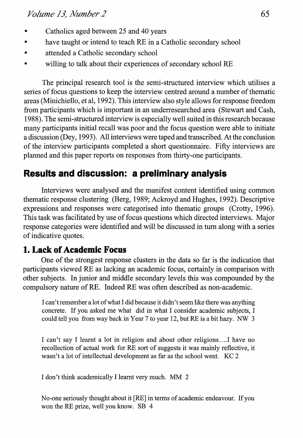- Catholics aged between 25 and 40 years
- have taught or intend to teach RE in a Catholic secondary school
- attended a Catholic secondary school
- willing to talk about their experiences of secondary school RE

The principal research tool is the semi-structured interview which utilises a series of focus questions to keep the interview centred around a number of thematic areas (Minichiello, et al, 1992). This interview also style allows forresponse freedom from participants which is important in an underresearched area (Stewart and Cash, 1988). The semi-structured interview is especially well suited in this research because many participants initial recall was poor and the focus question were able to initiate a discussion (Dey, 1993). All interviews were taped and transcribed. At the conclusion of the interview participants completed a short questionnaire. Fifty interviews are planned and this paper reports on responses from thirty-one participants.

# **Results and discussion: a preliminary analysis**

Interviews were analysed and the manifest content identified using common thematic response clustering (Berg, 1989; Ackroyd and Hughes, 1992). Descriptive expressions and responses were categorised into thematic groups (Crotty, 1996). This task was facilitated by use of focus questions which directed interviews. Major response categories were identified and will be discussed in tum along with a series of indicative quotes.

# **1. Lack of Academic Focus**

One of the strongest response clusters in the data so far is the indication that participants viewed RE as lacking an academic focus, certainly in comparison with other subjects. In junior and middle secondary levels this was compounded by the compulsory nature of RE. Indeed RE was often described as non-academic.

I can't remember a lot of what I did because it didn't seem like there was anything concrete. If you asked me what did in what I consider academic subjects, I could tell you from way back in Year 7 to year 12, but RE is a bit hazy. NW 3

I can't say I learnt a lot in religion and about other religions ... .I have no recollection of actual work for RE sort of suggests it was mainly reflective, it wasn't a lot of intellectual development as far as the school went. KC 2

I don't think academically I learnt very much. MM 2

No-one seriously thought about it [RE] in terms of academic endeavour. If you won the RE prize, well you know. SB 4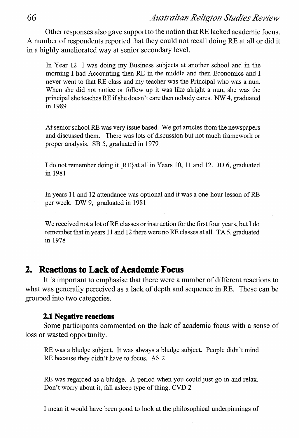Other responses also gave support to the notion that RE lacked academic focus. A number of respondents reported that they could not recall doing RE at all or did it in a highly ameliorated way at senior secondary level.

In Year 12 I was doing my Business subjects at another school and in the morning I had Accounting then RE in the middle and then Economics and I never went to that RE class and my teacher was the Principal who was a nun. When she did not notice or follow up it was like alright a nun, she was the principal she teaches RE if she doesn't care then nobody cares. NW 4, graduated in 1989

At senior school RE was very issue based. We got articles from the newspapers and discussed them. There was lots of discussion but not much framework or proper analysis. SB 5, graduated in 1979

I do not remember doing it [RE}at all in Years 10, II and 12. JD 6, graduated in 1981

In years 11 and 12 attendance was optional and it was a one-hour lesson of RE per week. DW 9, graduated in 1981

We received not a lot of RE classes or instruction for the first four years, but I do remember that in years 11 and 12 there were no RE classes at all. TA 5, graduated in 1978

## **2. Reactions to Lack of Academic Focus**

It is important to emphasise that there were a number of different reactions to what was generally perceived as a lack of depth and sequence in RE. These can be grouped into two categories.

#### **2.1 Negative reactions**

Some participants commented on the lack of academic focus with a sense of loss or wasted opportunity.

RE was a bludge subject. It was always a bludge subject. People didn't mind RE because they didn't have to focus. AS 2

RE was regarded as a bludge. A period when you could just go in and relax. Don't worry about it, fall asleep type of thing. CVD 2

I mean it would have been good to look at the philosophical underpinnings of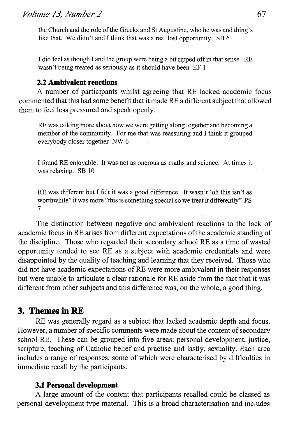the Church and the role of the Greeks and St Augustine, who he was and thing's like that. We didn't and I think that was a real lost opportunity. SB 6

I did feel as though I and the group were being a bit ripped off in that sense. RE wasn't being treated as seriously as it should have been EF 1

### 2.2 **Ambivalent reactions**

A number of participants whilst agreeing that RE lacked academic focus commented that this had some benefit that it made REa different subject that allowed them to feel less pressured and speak openly.

RE was talking more about how we were getting along together and becoming a member of the community. For me that was reassuring and I think it grouped everybody closer together NW 6

I found RE enjoyable. It was not as onerous as maths and science. At times it was relaxing. SB 10

RE was different but I felt it was a good difference. It wasn't 'oh this isn't as worthwhile" it was more "this is something special so we treat it differently" PS 7

The distinction between negative and ambivalent reactions to the lack of academic focus in RE arises from different expectations of the academic standing of the discipline. Those who regarded their secondary school RE as a time of wasted opportunity tended to see RE as a subject with academic credentials and were disappointed by the quality of teaching and learning that they received. Those who did not have academic expectations of RE were more ambivalent in their responses but were unable to articulate a clear rationale for RE aside from the fact that it was different from other subjects and this difference was, on the whole, a good thing.

# **3. Themes in RE**

RE was generally regard as a subject that lacked academic depth and focus. However, a number of specific comments were made about the content of secondary school RE. These can be grouped into five areas: personal development, justice, scripture, teaching of Catholic belief and practise and lastly, sexuality. Each area includes a range of responses, some of which were characterised by difficulties in immediate recall by the participants.

### **3.1 Personal development**

A large amount of the content that participants recalled could be classed as personal development type material. This is a broad characterisation and includes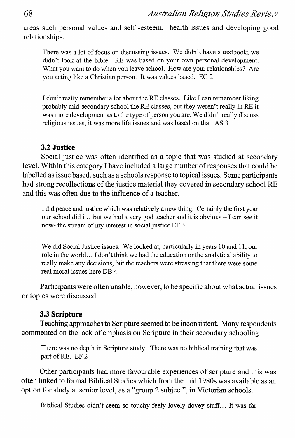areas such personal values and self -esteem, health issues and developing good relationships.

There was a lot of focus on discussing issues. We didn't have a textbook; we didn't look at the bible. RE was based on your own personal development. What you want to do when you leave school. How are your relationships? Are you acting like a Christian person. It was values based. EC 2

I don't really remember a lot about theRE classes. Like I can remember liking probably mid-secondary school the RE classes, but they weren't really in RE it was more development as to the type of person you are. We didn't really discuss religious issues, it was more life issues and was based on that. AS 3

#### 3.2 **Justice**

Social justice was often identified as a topic that was studied at secondary level. Within this category I have included a large number of responses that could be labelled as issue based, such as a schools response to topical issues. Some participants had strong recollections of the justice material they covered in secondary school RE and this was often due to the influence of a teacher.

I did peace and justice which was relatively a new thing. Certainly the first year our school did it ... but we had a very god teacher and it is obvious- I can see it now- the stream of my interest in social justice EF 3

We did Social Justice issues. We looked at, particularly in years 10 and 11, our role in the world ... I don't think we had the education or the analytical ability to really make any decisions, but the teachers were stressing that there were some real moral issues here DB 4

Participants were often unable, however, to be specific about what actual issues or topics were discussed.

#### 3.3 **Scripture**

Teaching approaches to Scripture seemed to be inconsistent. Many respondents commented on the lack of emphasis on Scripture in their secondary schooling.

There was no depth in Scripture study. There was no biblical training that was part of RE. EF 2

Other participants had more favourable experiences of scripture and this was often linked to formal Biblical Studies which from the mid 1980s was available as an option for study at senior level, as a "group 2 subject", in Victorian schools.

Biblical Studies didn't seem so touchy feely lovely dovey stuff. .. It was far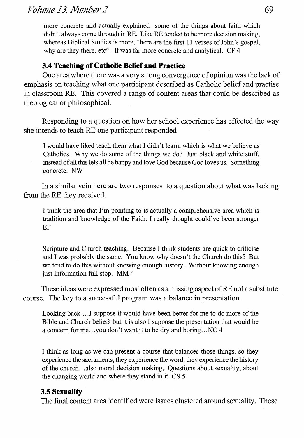more concrete and actually explained some of the things about faith which didn't always come through in RE. Like RE tended to be more decision making, whereas Biblical Studies is more, "here are the first 11 verses of John's gospel, why are they there, etc". It was far more concrete and analytical. CF4

## **3.4 Teaching of Catholic Belief and Practice**

One area where there was a very strong convergence of opinion was the lack of emphasis on teaching what one participant described as Catholic belief and practise in classroom RE. This covered a range of content areas that could be described as theological or philosophical.

Responding to a question on how her school experience has effected the way she intends to teach RE one participant responded

I would have liked teach them what I didn't learn, which is what we believe as Catholics. Why we do some of the things we do? Just black and white stuff, instead of all this lets all be happy and love God because God loves us. Something concrete. NW

In a similar vein here are two responses to a question about what was lacking from the RE they received.

I think the area that I'm pointing to is actually a comprehensive area which is tradition and knowledge of the Faith. I really thought could've been stronger EF

Scripture and Church teaching. Because I think students are quick to criticise and I was probably the same. You know why doesn't the Church do this? But we tend to do this without knowing enough history. Without knowing enough just information full stop. MM 4

These ideas were expressed most often as a missing aspect of RE not a substitute course. The key to a successful program was a balance in presentation.

Looking back ... I suppose it would have been better for me to do more of the Bible and Church beliefs but it is also I suppose the presentation that would be a concern for me...you don't want it to be dry and boring... NC 4

I think as long as we can present a course that balances those things, so they experience the sacraments, they experience the word, they experience the history of the church ... also moral decision making,. Questions about sexuality, about the changing world and where they stand in it CS 5

## **3.5 Sexuality**

The final content area identified were issues clustered around sexuality. These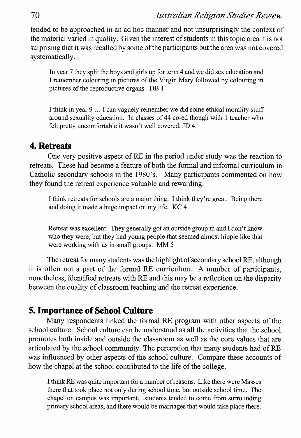tended to be approached in an ad hoc manner and not unsurprisingly the context of the material varied in quality. Given the interest of students in this topic area it is not surprising that it was recalled by some of the participants but the area was not covered systematically.

In year 7 they split the boys and girls up for term 4 and we did sex education and I remember colouring in pictures of the Virgin Mary followed by colouring in pictures of the reproductive organs. DB 1.

I think in year 9 ... I can vaguely remember we did some ethical morality stuff around sexuality education. In classes of 44 co-ed though with 1 teacher who felt pretty uncomfortable it wasn't well covered. JD 4.

### **4. Retreats**

One very positive aspect of RE in the period under study was the reaction to retreats. These had become a feature of both the formal and informal curriculum in Catholic secondary schools in the 1980's. Many participants commented on how they found the retreat experience valuable and rewarding.

I think retreats for schools are a major thing. I think they're great. Being there and doing it made a huge impact on my life. KC 4

Retreat was excellent. They generally got an outside group in and I don't know who they were, but they had young people that seemed almost hippie like that were working with us in small groups. MM 5

The retreat for many students was the highlight of secondary school RE, although it is often not a part of the formal RE curriculum. A number of participants, nonetheless, identified retreats with RE and this may be a reflection on the disparity between the quality of classroom teaching and the retreat experience.

## **5. Importance of School Culture**

Many respondents linked the formal RE program with other aspects of the school culture. School culture can be understood as all the activities that the school promotes both inside and outside the classroom as well as the core values that are articulated by the school community. The perception that many students had of RE was influenced by other aspects of the school culture. Compare these accounts of how the chapel at the school contributed to the life of the college.

I think RE was quite important for a number of reasons. Like there were Masses there that took place not only during school time, but outside school time. The chapel on campus was important. .. students tended to come from surrounding primary school areas, and there would be marriages that would take place there.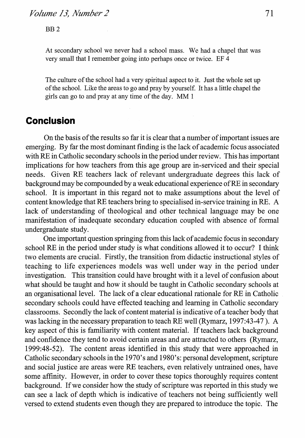At secondary school we never had a school mass. We had a chapel that was very small that I remember going into perhaps once or twice. EF 4

The culture of the school had a very spiritual aspect to it. Just the whole set up of the school. Like the areas to go and pray by yourself. It has a little chapel the girls can go to and pray at any time of the day. MM I

# **Conclusion**

On the basis of the results so far it is clear that a number of important issues are emerging. By far the most dominant finding is the lack of academic focus associated with RE in Catholic secondary schools in the period under review. This has important implications for how teachers from this age group are in-serviced and their special needs. Given RE teachers lack of relevant undergraduate degrees this lack of background may be compounded by a weak educational experience ofRE in secondary school. It is important in this regard not to make assumptions about the level of content knowledge that RE teachers bring to specialised in-service training in RE. A lack of understanding of theological and other technical language may be one manifestation of inadequate secondary education coupled with absence of formal undergraduate study.

One important question springing from this lack of academic focus in secondary school RE in the period under study is what conditions allowed it to occur? I think two elements are crucial. Firstly, the transition from didactic instructional styles of teaching to life experiences models was well under way in the period under investigation. This transition could have brought with it a level of confusion about what should be taught and how it should be taught in Catholic secondary schools at an organisational level. The lack of a clear educational rationale for RE in Catholic secondary schools could have effected teaching and learning in Catholic secondary classrooms. Secondly the lack of content material is indicative of a teacher body that was lacking in the necessary preparation to teach RE well (Rymarz, 1997:43-47 ). A key aspect of this is familiarity with content material. If teachers lack background and confidence they tend to avoid certain areas and are attracted to others (Rymarz, 1999:48-52). The content areas identified in this study that were approached in Catholic secondary schools in the 1970's and 1980's: personal development, scripture and social justice are areas were RE teachers, even relatively untrained ones, have some affinity. However, in order to cover these topics thoroughly requires content background. If we consider how the study of scripture was reported in this study we can see a lack of depth which is indicative of teachers not being sufficiently well versed to extend students even though they are prepared to introduce the topic. The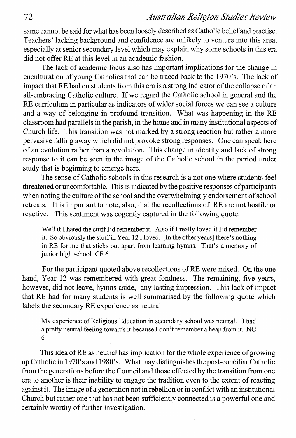## 72 *Australian Religion Studies Review*

same cannot be said for what has been loosely described as Catholic belief and practise. Teachers' lacking background and confidence are unlikely to venture into this area, especially at senior secondary level which may explain why some schools in this era did not offer RE at this level in an academic fashion.

The lack of academic focus also has important implications for the change in enculturation of young Catholics that can be traced back to the 1970's. The lack of impact that RE had on students from this era is a strong indicator of the collapse of an all-embracing Catholic culture. If we regard the Catholic school in general and the RE curriculum in particular as indicators of wider social forces we can see a culture and a way of belonging in profound transition. What was happening in the RE classroom had parallels in the parish, in the home and in many institutional aspects of Church life. This transition was not marked by a strong reaction but rather a more pervasive falling away which did not provoke strong responses. One can speak here of an evolution rather than a revolution. This change in identity and lack of strong response to it can be seen in the image of the Catholic school in the period under study that is beginning to emerge here.

The sense of Catholic schools in this research is a not one where students feel threatened or uncomfortable. This is indicated by the positive responses of participants when noting the culture of the school and the overwhelmingly endorsement of school retreats. It is important to note, also, that the recollections of RE are not hostile or reactive. This sentiment was cogently captured in the following quote.

Well if I hated the stuff I'd remember it. Also if I really loved it I'd remember it. So obviously the stuff in Year 12 I loved. [In the other years] there's nothing in RE for me that sticks out apart from learning hymns. That's a memory of junior high school CF 6

For the participant quoted above recollections of RE were mixed. On the one hand, Year 12 was remembered with great fondness. The remaining, five years, however, did not leave, hymns aside, any lasting impression. This lack of impact that RE had for many students is well summarised by the following quote which labels the secondary RE experience as neutral.

My experience of Religious Education in secondary school was neutral. I had a pretty neutral feeling towards it because I don't remember a heap from it. NC 6

This idea ofRE as neutral has implication for the whole experience of growing up Catholic in 1970's and 1980's. What may distinguishes the post-conciliar Catholic from the generations before the Council and those effected by the transition from one era to another is their inability to engage the tradition even to the extent of reacting against it. The image of a generation not in rebellion or in conflict with an institutional Church but rather one that has not been sufficiently connected is a powerful one and certainly worthy of further investigation.